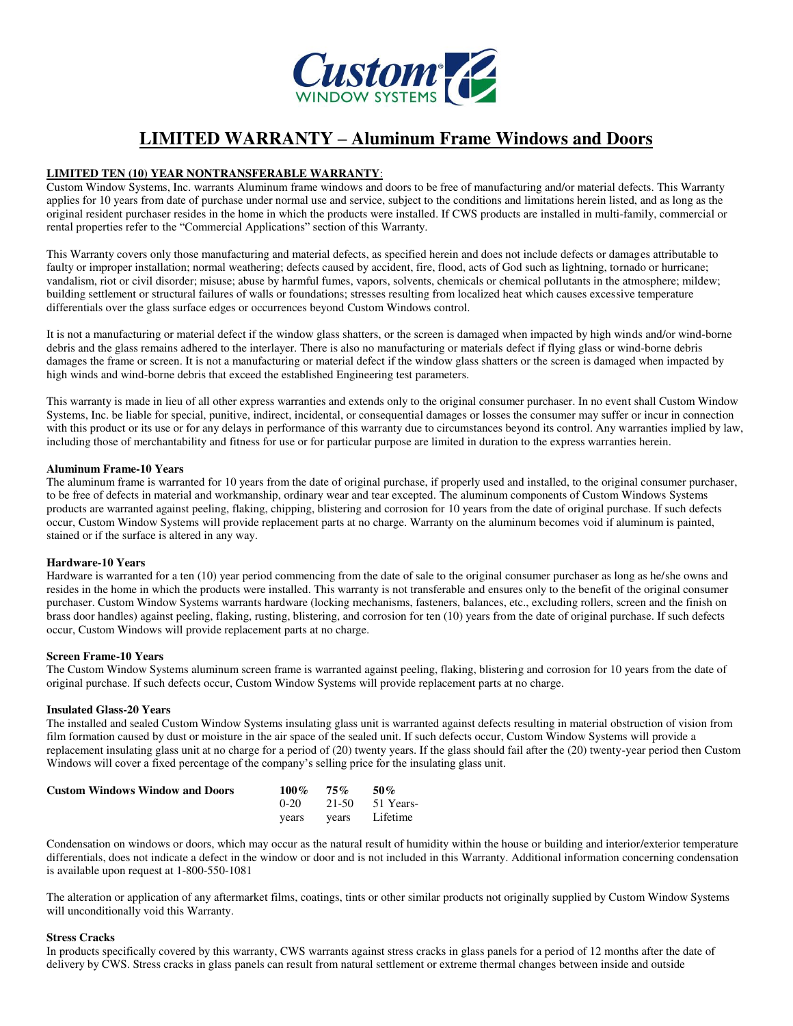

# **LIMITED WARRANTY – Aluminum Frame Windows and Doors**

# **LIMITED TEN (10) YEAR NONTRANSFERABLE WARRANTY**:

Custom Window Systems, Inc. warrants Aluminum frame windows and doors to be free of manufacturing and/or material defects. This Warranty applies for 10 years from date of purchase under normal use and service, subject to the conditions and limitations herein listed, and as long as the original resident purchaser resides in the home in which the products were installed. If CWS products are installed in multi-family, commercial or rental properties refer to the "Commercial Applications" section of this Warranty.

This Warranty covers only those manufacturing and material defects, as specified herein and does not include defects or damages attributable to faulty or improper installation; normal weathering; defects caused by accident, fire, flood, acts of God such as lightning, tornado or hurricane; vandalism, riot or civil disorder; misuse; abuse by harmful fumes, vapors, solvents, chemicals or chemical pollutants in the atmosphere; mildew; building settlement or structural failures of walls or foundations; stresses resulting from localized heat which causes excessive temperature differentials over the glass surface edges or occurrences beyond Custom Windows control.

It is not a manufacturing or material defect if the window glass shatters, or the screen is damaged when impacted by high winds and/or wind-borne debris and the glass remains adhered to the interlayer. There is also no manufacturing or materials defect if flying glass or wind-borne debris damages the frame or screen. It is not a manufacturing or material defect if the window glass shatters or the screen is damaged when impacted by high winds and wind-borne debris that exceed the established Engineering test parameters.

This warranty is made in lieu of all other express warranties and extends only to the original consumer purchaser. In no event shall Custom Window Systems, Inc. be liable for special, punitive, indirect, incidental, or consequential damages or losses the consumer may suffer or incur in connection with this product or its use or for any delays in performance of this warranty due to circumstances beyond its control. Any warranties implied by law, including those of merchantability and fitness for use or for particular purpose are limited in duration to the express warranties herein.

#### **Aluminum Frame-10 Years**

The aluminum frame is warranted for 10 years from the date of original purchase, if properly used and installed, to the original consumer purchaser, to be free of defects in material and workmanship, ordinary wear and tear excepted. The aluminum components of Custom Windows Systems products are warranted against peeling, flaking, chipping, blistering and corrosion for 10 years from the date of original purchase. If such defects occur, Custom Window Systems will provide replacement parts at no charge. Warranty on the aluminum becomes void if aluminum is painted, stained or if the surface is altered in any way.

## **Hardware-10 Years**

Hardware is warranted for a ten (10) year period commencing from the date of sale to the original consumer purchaser as long as he/she owns and resides in the home in which the products were installed. This warranty is not transferable and ensures only to the benefit of the original consumer purchaser. Custom Window Systems warrants hardware (locking mechanisms, fasteners, balances, etc., excluding rollers, screen and the finish on brass door handles) against peeling, flaking, rusting, blistering, and corrosion for ten (10) years from the date of original purchase. If such defects occur, Custom Windows will provide replacement parts at no charge.

#### **Screen Frame-10 Years**

The Custom Window Systems aluminum screen frame is warranted against peeling, flaking, blistering and corrosion for 10 years from the date of original purchase. If such defects occur, Custom Window Systems will provide replacement parts at no charge.

#### **Insulated Glass-20 Years**

The installed and sealed Custom Window Systems insulating glass unit is warranted against defects resulting in material obstruction of vision from film formation caused by dust or moisture in the air space of the sealed unit. If such defects occur, Custom Window Systems will provide a replacement insulating glass unit at no charge for a period of (20) twenty years. If the glass should fail after the (20) twenty-year period then Custom Windows will cover a fixed percentage of the company's selling price for the insulating glass unit.

| <b>Custom Windows Window and Doors</b> | $100\%$ 75% 50% |                        |
|----------------------------------------|-----------------|------------------------|
|                                        |                 | $0-20$ 21-50 51 Years- |
|                                        |                 | years vears Lifetime   |

Condensation on windows or doors, which may occur as the natural result of humidity within the house or building and interior/exterior temperature differentials, does not indicate a defect in the window or door and is not included in this Warranty. Additional information concerning condensation is available upon request at 1-800-550-1081

The alteration or application of any aftermarket films, coatings, tints or other similar products not originally supplied by Custom Window Systems will unconditionally void this Warranty.

#### **Stress Cracks**

In products specifically covered by this warranty, CWS warrants against stress cracks in glass panels for a period of 12 months after the date of delivery by CWS. Stress cracks in glass panels can result from natural settlement or extreme thermal changes between inside and outside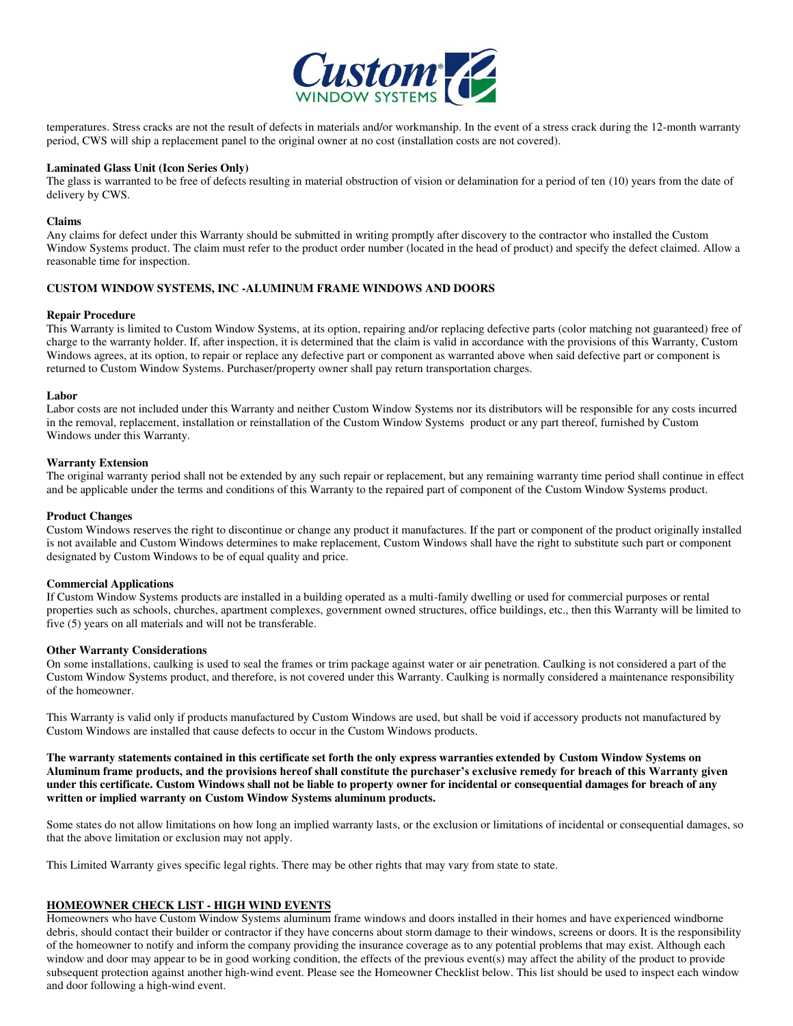

temperatures. Stress cracks are not the result of defects in materials and/or workmanship. In the event of a stress crack during the 12-month warranty period, CWS will ship a replacement panel to the original owner at no cost (installation costs are not covered).

#### **Laminated Glass Unit (Icon Series Only)**

The glass is warranted to be free of defects resulting in material obstruction of vision or delamination for a period of ten (10) years from the date of delivery by CWS.

#### **Claims**

Any claims for defect under this Warranty should be submitted in writing promptly after discovery to the contractor who installed the Custom Window Systems product. The claim must refer to the product order number (located in the head of product) and specify the defect claimed. Allow a reasonable time for inspection.

#### **CUSTOM WINDOW SYSTEMS, INC -ALUMINUM FRAME WINDOWS AND DOORS**

#### **Repair Procedure**

This Warranty is limited to Custom Window Systems, at its option, repairing and/or replacing defective parts (color matching not guaranteed) free of charge to the warranty holder. If, after inspection, it is determined that the claim is valid in accordance with the provisions of this Warranty, Custom Windows agrees, at its option, to repair or replace any defective part or component as warranted above when said defective part or component is returned to Custom Window Systems. Purchaser/property owner shall pay return transportation charges.

#### **Labor**

Labor costs are not included under this Warranty and neither Custom Window Systems nor its distributors will be responsible for any costs incurred in the removal, replacement, installation or reinstallation of the Custom Window Systems product or any part thereof, furnished by Custom Windows under this Warranty.

#### **Warranty Extension**

The original warranty period shall not be extended by any such repair or replacement, but any remaining warranty time period shall continue in effect and be applicable under the terms and conditions of this Warranty to the repaired part of component of the Custom Window Systems product.

#### **Product Changes**

Custom Windows reserves the right to discontinue or change any product it manufactures. If the part or component of the product originally installed is not available and Custom Windows determines to make replacement, Custom Windows shall have the right to substitute such part or component designated by Custom Windows to be of equal quality and price.

#### **Commercial Applications**

If Custom Window Systems products are installed in a building operated as a multi-family dwelling or used for commercial purposes or rental properties such as schools, churches, apartment complexes, government owned structures, office buildings, etc., then this Warranty will be limited to five (5) years on all materials and will not be transferable.

#### **Other Warranty Considerations**

On some installations, caulking is used to seal the frames or trim package against water or air penetration. Caulking is not considered a part of the Custom Window Systems product, and therefore, is not covered under this Warranty. Caulking is normally considered a maintenance responsibility of the homeowner.

This Warranty is valid only if products manufactured by Custom Windows are used, but shall be void if accessory products not manufactured by Custom Windows are installed that cause defects to occur in the Custom Windows products.

**The warranty statements contained in this certificate set forth the only express warranties extended by Custom Window Systems on Aluminum frame products, and the provisions hereof shall constitute the purchaser's exclusive remedy for breach of this Warranty given under this certificate. Custom Windows shall not be liable to property owner for incidental or consequential damages for breach of any written or implied warranty on Custom Window Systems aluminum products.** 

Some states do not allow limitations on how long an implied warranty lasts, or the exclusion or limitations of incidental or consequential damages, so that the above limitation or exclusion may not apply.

This Limited Warranty gives specific legal rights. There may be other rights that may vary from state to state.

## **HOMEOWNER CHECK LIST - HIGH WIND EVENTS**

Homeowners who have Custom Window Systems aluminum frame windows and doors installed in their homes and have experienced windborne debris, should contact their builder or contractor if they have concerns about storm damage to their windows, screens or doors. It is the responsibility of the homeowner to notify and inform the company providing the insurance coverage as to any potential problems that may exist. Although each window and door may appear to be in good working condition, the effects of the previous event(s) may affect the ability of the product to provide subsequent protection against another high-wind event. Please see the Homeowner Checklist below. This list should be used to inspect each window and door following a high-wind event.